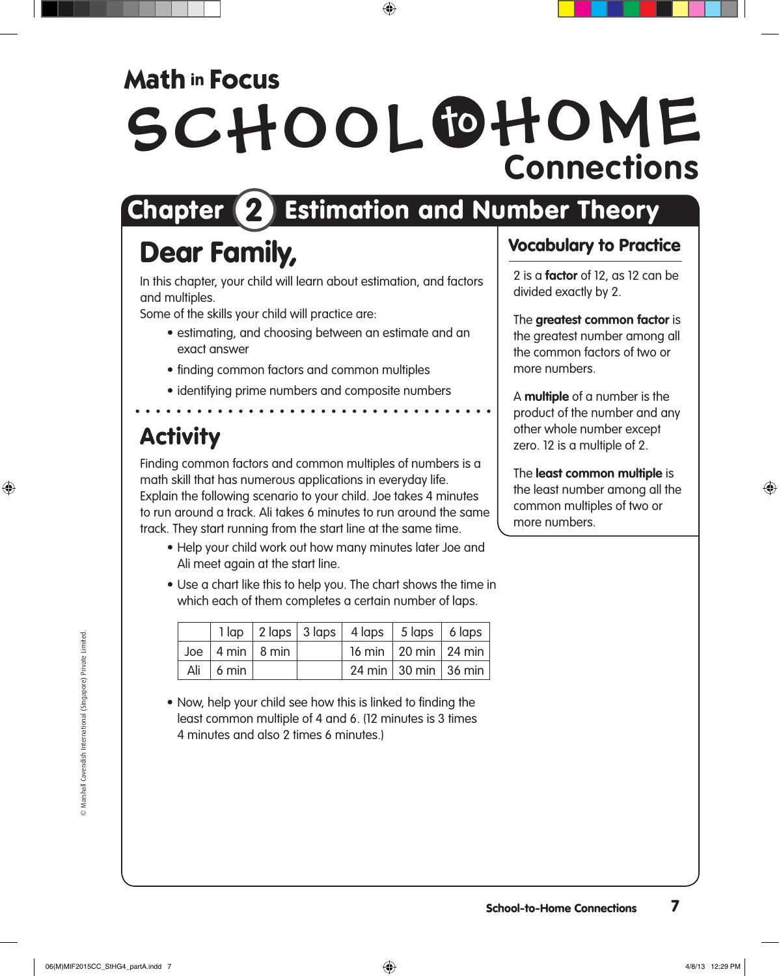### **Math in Focus**

# SCHOOL OHOME **Connections**

# Chapter 2 Estimation and Number Theory

## Dear Family,

In this chapter, your child will learn about estimation, and factors and multiples.

Some of the skills your child will practice are:

- estimating, and choosing between an estimate and an exact answer
- finding common factors and common multiples
- identifying prime numbers and composite numbers . . . . . . . . . . . . . . . .

### **Activity**

Finding common factors and common multiples of numbers is a math skill that has numerous applications in everyday life. Explain the following scenario to your child. Joe takes 4 minutes to run around a track. Ali takes 6 minutes to run around the same track. They start running from the start line at the same time.

- Help your child work out how many minutes later Joe and Ali meet again at the start line.
- Use a chart like this to help you. The chart shows the time in which each of them completes a certain number of laps.

|                          |                                      | $1 \text{ lap}$ $2 \text{ laps}$ $3 \text{ laps}$ $4 \text{ laps}$ $5 \text{ laps}$ $6 \text{ laps}$ |                          |  |
|--------------------------|--------------------------------------|------------------------------------------------------------------------------------------------------|--------------------------|--|
|                          | Joe $ 4 \text{ min}   8 \text{ min}$ |                                                                                                      | 16 min   20 min   24 min |  |
| Ali   6 min <sup> </sup> |                                      |                                                                                                      | 24 min 30 min 36 min     |  |

• Now, help your child see how this is linked to finding the least common multiple of 4 and 6. (12 minutes is 3 times 4 minutes and also 2 times 6 minutes.)

#### Vocabulary to Practice

2 is a **factor** of 12, as 12 can be divided exactly by 2.

The **greatest common factor** is the greatest number among all the common factors of two or more numbers.

A **multiple** of a number is the product of the number and any other whole number except zero. 12 is a multiple of 2.

The **least common multiple** is the least number among all the common multiples of two or more numbers.